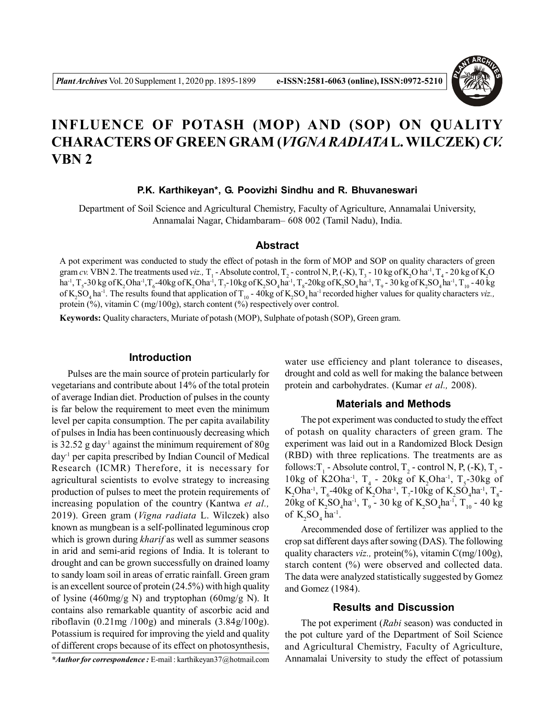

# **INFLUENCE OF POTASH (MOP) AND (SOP) ON QUALITY CHARACTERS OF GREEN GRAM (***VIGNA RADIATA***L. WILCZEK)** *CV.* **VBN 2**

### **P.K. Karthikeyan\*, G. Poovizhi Sindhu and R. Bhuvaneswari**

Department of Soil Science and Agricultural Chemistry, Faculty of Agriculture, Annamalai University, Annamalai Nagar, Chidambaram– 608 002 (Tamil Nadu), India.

### **Abstract**

A pot experiment was conducted to study the effect of potash in the form of MOP and SOP on quality characters of green gram *cv*. VBN 2. The treatments used *viz*., T<sub>1</sub> - Absolute control, T<sub>2</sub> - control N, P, (-K), T<sub>3</sub> - 10 kg of K<sub>2</sub>O ha<sup>-1</sup>, T<sub>4</sub> - 20 kg of K<sub>2</sub>O ha<sup>-1</sup>, T<sub>5</sub>-30 kg of K<sub>2</sub>Oha<sup>-1</sup>,T<sub>6</sub>-40kg of K<sub>2</sub>Oha<sup>-1</sup>, T<sub>7</sub>-10kg of K<sub>2</sub>SO<sub>4</sub>ha<sup>-1</sup>, T<sub>8</sub>-20kg of K<sub>2</sub>SO<sub>4</sub>ha<sup>-1</sup>, T<sub>9</sub>-30 kg of K<sub>2</sub>SO<sub>4</sub>ha<sup>-1</sup>, T<sub>10</sub>-40 kg of  $K_2SO_4$  ha<sup>-1</sup>. The results found that application of T<sub>10</sub> - 40kg of  $K_2SO_4$  ha<sup>-1</sup> recorded higher values for quality characters *viz.*, protein (%), vitamin C (mg/100g), starch content (%) respectively over control.

**Keywords:** Quality characters, Muriate of potash (MOP), Sulphate of potash (SOP), Green gram.

### **Introduction**

Pulses are the main source of protein particularly for vegetarians and contribute about 14% of the total protein of average Indian diet. Production of pulses in the county is far below the requirement to meet even the minimum level per capita consumption. The per capita availability of pulses in India has been continuously decreasing which is  $32.52$  g day<sup>-1</sup> against the minimum requirement of  $80g$  $day<sup>1</sup>$  per capita prescribed by Indian Council of Medical Research (ICMR) Therefore, it is necessary for agricultural scientists to evolve strategy to increasing production of pulses to meet the protein requirements of increasing population of the country (Kantwa *et al.,* 2019). Green gram (*Vigna radiata* L. Wilczek) also known as mungbean is a self-pollinated leguminous crop which is grown during *kharif* as well as summer seasons in arid and semi-arid regions of India. It is tolerant to drought and can be grown successfully on drained loamy to sandy loam soil in areas of erratic rainfall. Green gram is an excellent source of protein (24.5%) with high quality of lysine (460mg/g N) and tryptophan (60mg/g N). It contains also remarkable quantity of ascorbic acid and riboflavin  $(0.21mg/100g)$  and minerals  $(3.84g/100g)$ . Potassium is required for improving the yield and quality of different crops because of its effect on photosynthesis,

water use efficiency and plant tolerance to diseases, drought and cold as well for making the balance between protein and carbohydrates. (Kumar *et al.,* 2008).

#### **Materials and Methods**

The pot experiment was conducted to study the effect of potash on quality characters of green gram. The experiment was laid out in a Randomized Block Design (RBD) with three replications. The treatments are as follows: $T_1$  - Absolute control,  $T_2$  - control N, P, (-K),  $T_3$  -10kg of K2Oha<sup>-1</sup>, T<sub>4</sub> - 20kg of K<sub>2</sub>Oha<sup>-1</sup>, T<sub>5</sub>-30kg of  $K_2$ Oha<sup>-1</sup>, T<sub>6</sub>-40kg of K<sub>2</sub>Oha<sup>-1</sup>, T<sub>7</sub>-10kg of K<sub>2</sub>SO<sub>4</sub>ha<sup>-1</sup>, T<sub>8</sub>-20kg of K<sub>2</sub>SO<sub>4</sub>ha<sup>-1</sup>, T<sub>9</sub> - 30 kg of K<sub>2</sub>SO<sub>4</sub>ha<sup>-1</sup>, T<sub>10</sub> - 40 kg of  $K_2SO_4$  ha<sup>-1</sup>.

Arecommended dose of fertilizer was applied to the crop sat different days after sowing (DAS). The following quality characters *viz.*, protein(%), vitamin C(mg/100g), starch content (%) were observed and collected data. The data were analyzed statistically suggested by Gomez and Gomez (1984).

### **Results and Discussion**

The pot experiment (*Rabi* season) was conducted in the pot culture yard of the Department of Soil Science and Agricultural Chemistry, Faculty of Agriculture, Annamalai University to study the effect of potassium

*<sup>\*</sup>Author for correspondence :* E-mail : karthikeyan37@hotmail.com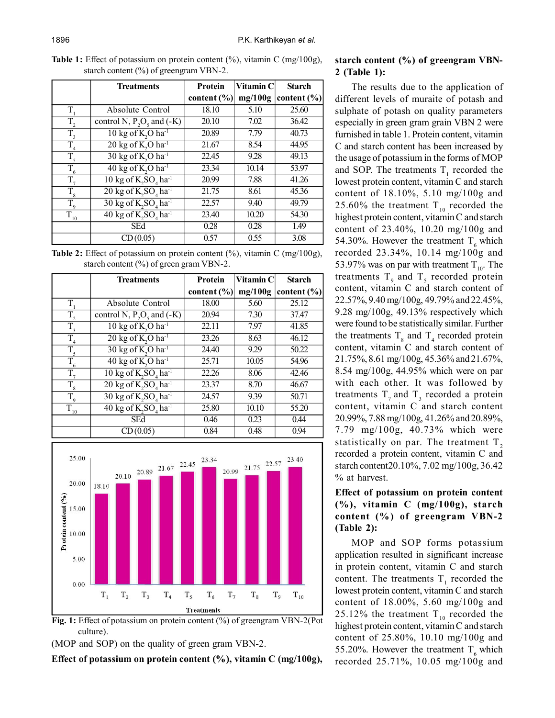**Table 1:** Effect of potassium on protein content (%), vitamin C (mg/100g), starch content (%) of greengram VBN-2.

|                  | <b>Treatments</b>                                      | <b>Protein</b>  | Vitamin C | <b>Starch</b>   |
|------------------|--------------------------------------------------------|-----------------|-----------|-----------------|
|                  |                                                        | content $(\% )$ | mg/100g   | content $(\% )$ |
| T,               | Absolute Control                                       | 18.10           | 5.10      | 25.60           |
| $T_{2}$          | control N, $\overline{P_2O_5}$ and (-K)                | 20.10           | 7.02      | 36.42           |
| $\overline{T}_3$ | 10 kg of K <sub>2</sub> O ha <sup>-1</sup>             | 20.89           | 7.79      | 40.73           |
| T                | $20 \text{ kg of K}, O \text{ ha}^{-1}$                | 21.67           | 8.54      | 44.95           |
| $\overline{T}_5$ | 30 kg of K,O ha-1                                      | 22.45           | 9.28      | 49.13           |
| $\overline{T}_6$ | 40 kg of K <sub>2</sub> O ha <sup>-1</sup>             | 23.34           | 10.14     | 53.97           |
| $\overline{T}_7$ | $10 \text{ kg of K, SO}$ <sub>a</sub> ha <sup>-1</sup> | 20.99           | 7.88      | 41.26           |
| $\overline{T}_8$ | $20 \text{ kg of } K$ , $SO4$ ha <sup>-1</sup>         | 21.75           | 8.61      | 45.36           |
| $\overline{T}_9$ | $30 \text{ kg of K, SO4 ha-1$                          | 22.57           | 9.40      | 49.79           |
| $\bar{T}_{10}$   | $40 \text{ kg of K, SO}$ <sub>a</sub> ha <sup>-1</sup> | 23.40           | 10.20     | 54.30           |
|                  | <b>SEd</b>                                             | 0.28            | 0.28      | 1.49            |
|                  | CD(0.05)                                               | 0.57            | 0.55      | 3.08            |

**Table 2:** Effect of potassium on protein content (%), vitamin C (mg/100g), starch content (%) of green gram VBN-2.

|                     | <b>Treatments</b>                              | <b>Protein</b>  | Vitamin C | <b>Starch</b>   |
|---------------------|------------------------------------------------|-----------------|-----------|-----------------|
|                     |                                                | content $(\% )$ | mg/100g   | content $(\% )$ |
| T.                  | Absolute Control                               | 18.00           | 5.60      | 25.12           |
| $\overline{T}_2$    | control N, $P_2O_5$ and $(-K)$                 | 20.94           | 7.30      | 37.47           |
| $T_{3}$             | 10 kg of K <sub>2</sub> O ha <sup>-1</sup>     | 22.11           | 7.97      | 41.85           |
| $\overline{T}_4$    | $20 \text{ kg of K}, O \text{ ha}^{-1}$        | 23.26           | 8.63      | 46.12           |
| $T_{\rm 5}$         | $30 \text{ kg of K}, O \text{ ha}^{-1}$        | 24.40           | 9.29      | 50.22           |
| $\overline{T}_6$    | $40 \text{ kg of K}, O \text{ ha}^{-1}$        | 25.71           | 10.05     | 54.96           |
| $T_{\tau}$          | $10 \text{ kg of K, SO}_4$ ha <sup>-1</sup>    | 22.26           | 8.06      | 42.46           |
| $\overline{T}_8$    | $20 \text{ kg of } K$ , $SO4$ ha <sup>-1</sup> | 23.37           | 8.70      | 46.67           |
| $\overline{T}_9$    | $30 \text{ kg of K, SO}_4$ ha <sup>-1</sup>    | 24.57           | 9.39      | 50.71           |
| $\overline{T}_{10}$ | $40 \text{ kg of K, SO4 ha-1$                  | 25.80           | 10.10     | 55.20           |
|                     | <b>SEd</b>                                     | 0.46            | 0.23      | 0.44            |
|                     | CD(0.05)                                       | 0.84            | 0.48      | 0.94            |





(MOP and SOP) on the quality of green gram VBN-2.

**Effect of potassium on protein content (%), vitamin C (mg/100g),**

# **starch content (%) of greengram VBN-2 (Table 1):**

The results due to the application of different levels of muraite of potash and sulphate of potash on quality parameters especially in green gram grain VBN 2 were furnished in table 1. Protein content, vitamin C and starch content has been increased by the usage of potassium in the forms of MOP and SOP. The treatments  $T_1$  recorded the lowest protein content, vitamin C and starch content of 18.10%, 5.10 mg/100g and 25.60% the treatment  $T_{10}$  recorded the highest protein content, vitamin C and starch content of 23.40%, 10.20 mg/100g and 54.30%. However the treatment  $T<sub>c</sub>$  which recorded 23.34%, 10.14 mg/100g and 53.97% was on par with treatment  $T_{10}$ . The treatments  $T<sub>9</sub>$  and  $T<sub>5</sub>$  recorded protein content, vitamin C and starch content of 22.57%, 9.40 mg/100g, 49.79% and 22.45%, 9.28 mg/100g, 49.13% respectively which were found to be statistically similar. Further the treatments  $T_8$  and  $T_4$  recorded protein content, vitamin C and starch content of 21.75%, 8.61 mg/100g, 45.36% and 21.67%, 8.54 mg/100g, 44.95% which were on par with each other. It was followed by treatments  $T_7$  and  $T_3$  recorded a protein content, vitamin C and starch content 20.99%, 7.88 mg/100g, 41.26% and 20.89%, 7.79 mg/100g, 40.73% which were statistically on par. The treatment  $T<sub>2</sub>$ recorded a protein content, vitamin C and starch content20.10%, 7.02 mg/100g, 36.42 % at harvest.

# **Effect of potassium on protein content (%), vitamin C (mg/100g), starch content (%) of greengram VBN-2 (Table 2):**

MOP and SOP forms potassium application resulted in significant increase in protein content, vitamin C and starch content. The treatments  $T_1$  recorded the lowest protein content, vitamin C and starch content of 18.00%, 5.60 mg/100g and 25.12% the treatment  $T_{10}$  recorded the highest protein content, vitamin C and starch content of 25.80%, 10.10 mg/100g and 55.20%. However the treatment  $T<sub>6</sub>$  which recorded 25.71%, 10.05 mg/100g and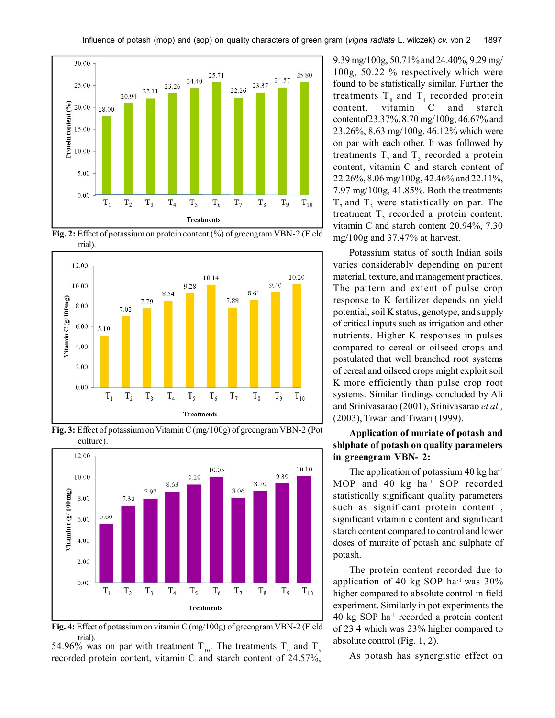





**Fig. 3:** Effect of potassium on Vitamin C (mg/100g) of greengram VBN-2 (Pot culture).



**Fig. 4:** Effect of potassium on vitamin C (mg/100g) of greengram VBN-2 (Field trial).

54.96% was on par with treatment  $T_{10}$ . The treatments  $T_{9}$  and  $T_{5}$ recorded protein content, vitamin C and starch content of 24.57%, 9.39 mg/100g, 50.71% and 24.40%, 9.29 mg/ 100g, 50.22 % respectively which were found to be statistically similar. Further the treatments  $T_s$  and  $T_4$  recorded protein content, vitamin C and starch contentof23.37%, 8.70 mg/100g, 46.67% and 23.26%, 8.63 mg/100g, 46.12% which were on par with each other. It was followed by treatments  $T_7$  and  $T_3$  recorded a protein content, vitamin C and starch content of 22.26%, 8.06 mg/100g, 42.46% and 22.11%, 7.97 mg/100g, 41.85%. Both the treatments  $T_7$  and  $T_3$  were statistically on par. The treatment  $T_2$  recorded a protein content, vitamin C and starch content 20.94%, 7.30 mg/100g and 37.47% at harvest.

Potassium status of south Indian soils varies considerably depending on parent material, texture, and management practices. The pattern and extent of pulse crop response to K fertilizer depends on yield potential, soil K status, genotype, and supply of critical inputs such as irrigation and other nutrients. Higher K responses in pulses compared to cereal or oilseed crops and postulated that well branched root systems of cereal and oilseed crops might exploit soil K more efficiently than pulse crop root systems. Similar findings concluded by Ali and Srinivasarao (2001), Srinivasarao *et al.,* (2003), Tiwari and Tiwari (1999).

# **Application of muriate of potash and shlphate of potash on quality parameters in greengram VBN- 2:**

The application of potassium 40 kg ha $^{-1}$ MOP and 40 kg ha<sup>-1</sup> SOP recorded statistically significant quality parameters such as significant protein content , significant vitamin c content and significant starch content compared to control and lower doses of muraite of potash and sulphate of potash.

The protein content recorded due to application of 40 kg SOP ha<sup>-1</sup> was  $30\%$ higher compared to absolute control in field experiment. Similarly in pot experiments the 40 kg SOP ha-1 recorded a protein content of 23.4 which was 23% higher compared to absolute control (Fig. 1, 2).

As potash has synergistic effect on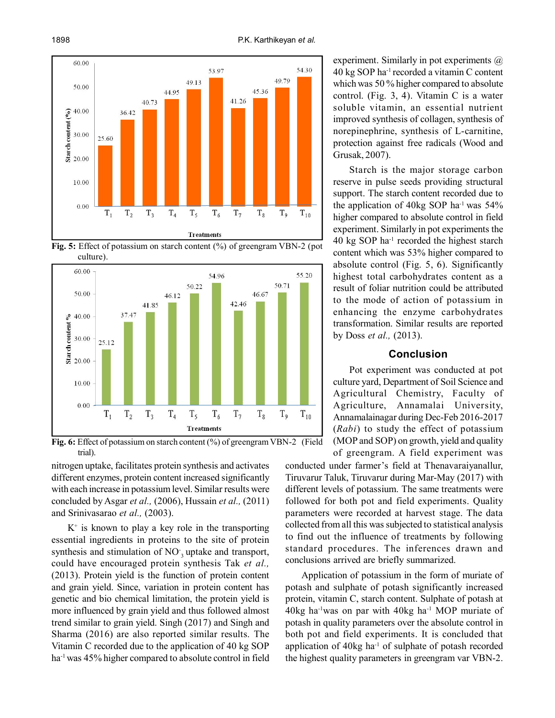

**Fig. 5:** Effect of potassium on starch content (%) of greengram VBN-2 (pot culture).



**Fig. 6:** Effect of potassium on starch content (%) of greengram VBN-2 (Field trial).

nitrogen uptake, facilitates protein synthesis and activates different enzymes, protein content increased significantly with each increase in potassium level. Similar results were concluded by Asgar *et al.,* (2006), Hussain *et al.,* (2011) and Srinivasarao *et al.,* (2003).

 $K^+$  is known to play a key role in the transporting essential ingredients in proteins to the site of protein synthesis and stimulation of NO<sub>3</sub> uptake and transport, could have encouraged protein synthesis Tak *et al.,* (2013). Protein yield is the function of protein content and grain yield. Since, variation in protein content has genetic and bio chemical limitation, the protein yield is more influenced by grain yield and thus followed almost trend similar to grain yield. Singh (2017) and Singh and Sharma (2016) are also reported similar results. The Vitamin C recorded due to the application of 40 kg SOP ha<sup>-1</sup> was 45% higher compared to absolute control in field experiment. Similarly in pot experiments  $\omega$ 40 kg SOP ha-1 recorded a vitamin C content which was 50 % higher compared to absolute control. (Fig. 3, 4). Vitamin C is a water soluble vitamin, an essential nutrient improved synthesis of collagen, synthesis of norepinephrine, synthesis of L-carnitine, protection against free radicals (Wood and Grusak, 2007).

Starch is the major storage carbon reserve in pulse seeds providing structural support. The starch content recorded due to the application of  $40\text{kg}$  SOP ha<sup>-1</sup> was  $54\%$ higher compared to absolute control in field experiment. Similarly in pot experiments the 40 kg SOP ha-1 recorded the highest starch content which was 53% higher compared to absolute control (Fig. 5, 6). Significantly highest total carbohydrates content as a result of foliar nutrition could be attributed to the mode of action of potassium in enhancing the enzyme carbohydrates transformation. Similar results are reported by Doss *et al.,* (2013).

## **Conclusion**

Pot experiment was conducted at pot culture yard, Department of Soil Science and Agricultural Chemistry, Faculty of Agriculture, Annamalai University, Annamalainagar during Dec-Feb 2016-2017 (*Rabi*) to study the effect of potassium (MOP and SOP) on growth, yield and quality of greengram. A field experiment was

conducted under farmer's field at Thenavaraiyanallur, Tiruvarur Taluk, Tiruvarur during Mar-May (2017) with different levels of potassium. The same treatments were followed for both pot and field experiments. Quality parameters were recorded at harvest stage. The data collected from all this was subjected to statistical analysis to find out the influence of treatments by following standard procedures. The inferences drawn and conclusions arrived are briefly summarized.

Application of potassium in the form of muriate of potash and sulphate of potash significantly increased protein, vitamin C, starch content. Sulphate of potash at  $40\text{kg}$  ha<sup>-1</sup> was on par with  $40\text{kg}$  ha<sup>-1</sup> MOP muriate of potash in quality parameters over the absolute control in both pot and field experiments. It is concluded that application of  $40kg$  ha<sup>-1</sup> of sulphate of potash recorded the highest quality parameters in greengram var VBN-2.